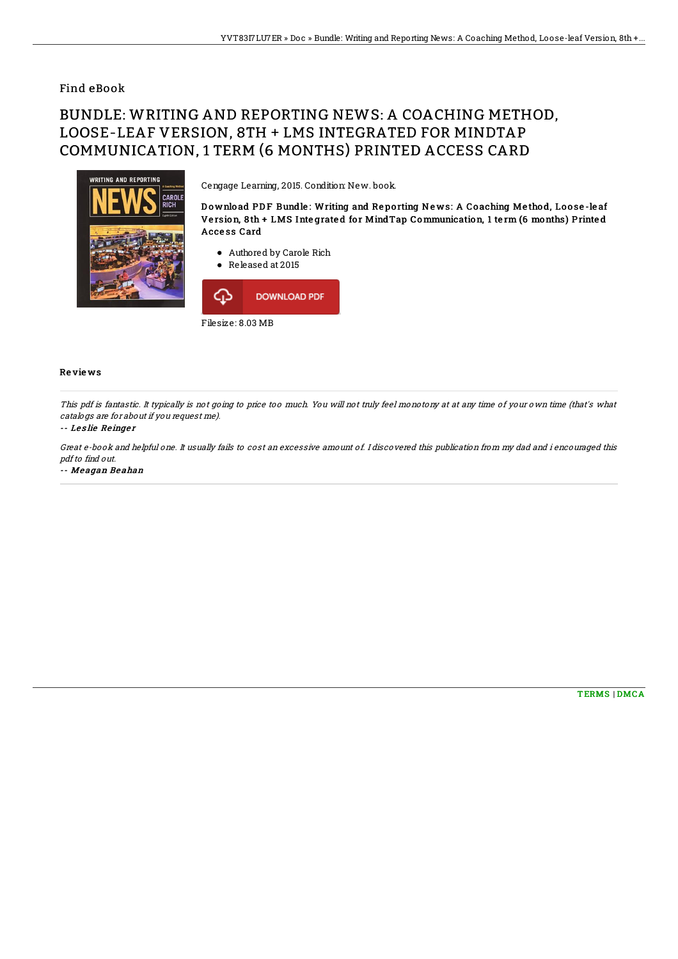## Find eBook

# BUNDLE: WRITING AND REPORTING NEWS: A COACHING METHOD, LOOSE-LEAF VERSION, 8TH + LMS INTEGRATED FOR MINDTAP COMMUNICATION, 1 TERM (6 MONTHS) PRINTED ACCESS CARD



### Cengage Learning, 2015. Condition: New. book.

Download PDF Bundle: Writing and Reporting News: A Coaching Method, Loose-leaf Version, 8th + LMS Integrated for MindTap Communication, 1 term (6 months) Printed Acce ss Card

- Authored by Carole Rich
- Released at 2015



### Re vie ws

This pdf is fantastic. It typically is not going to price too much. You will not truly feel monotony at at any time of your own time (that's what catalogs are for about if you request me).

#### -- Les lie Reinger

Great e-book and helpful one. It usually fails to cost an excessive amount of. I discovered this publication from my dad and i encouraged this pdf to find out.

-- Me agan Be ahan